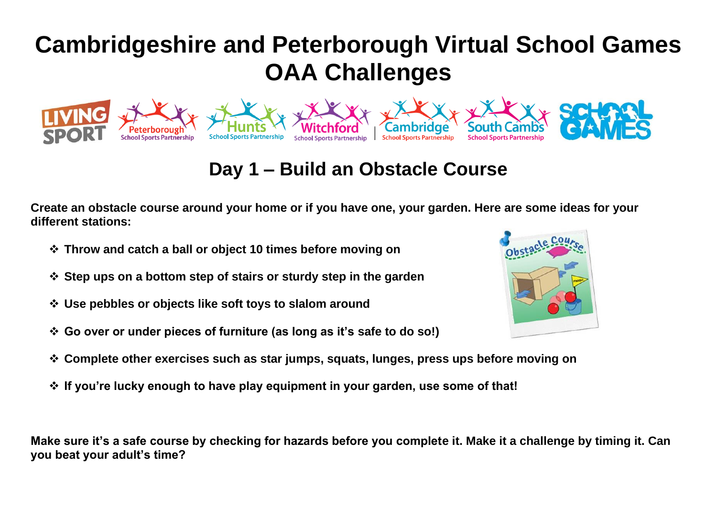## **Day 1 – Build an Obstacle Course**

**Dam Build Are an Obstacle Course Dam Build School Sports Partnership School Sports**<br>
School Sports Partnership School Sports Partnership School Sports

**Create an obstacle course around your home or if you have one, your garden. Here are some ideas for your different stations:**

- ❖ **Throw and catch a ball or object 10 times before moving on**
- ❖ **Step ups on a bottom step of stairs or sturdy step in the garden**
- ❖ **Use pebbles or objects like soft toys to slalom around**
- ❖ **Go over or under pieces of furniture (as long as it's safe to do so!)**
- 
- ❖ **Complete other exercises such as star jumps, squats, lunges, press ups before moving on**
- ❖ **If you're lucky enough to have play equipment in your garden, use some of that!**

**Make sure it's a safe course by checking for hazards before you complete it. Make it a challenge by timing it. Can you beat your adult's time?**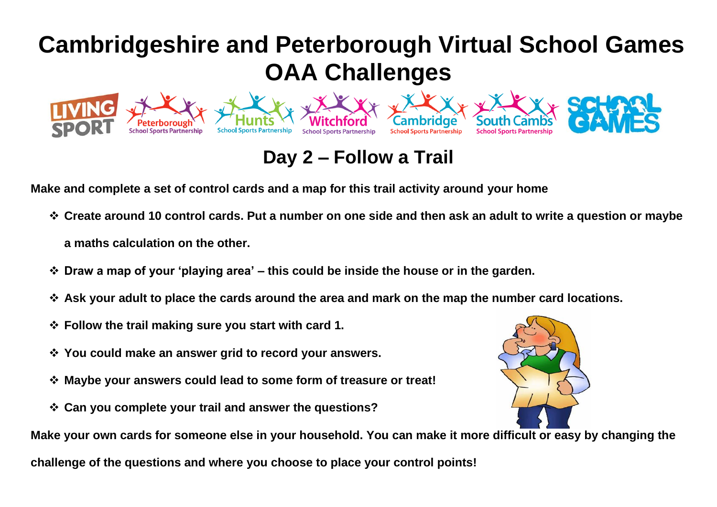#### **Make and complete a set of control cards and a map for this trail activity around your home**

**School Sports Partnership** 

❖ **Create around 10 control cards. Put a number on one side and then ask an adult to write a question or maybe a maths calculation on the other.**

**Day 2 – Follow a Trail**

**School Sports Partnership** 

Cambridge

**School Sports Partnership** 

- ❖ **Draw a map of your 'playing area' – this could be inside the house or in the garden.**
- ❖ **Ask your adult to place the cards around the area and mark on the map the number card locations.**
- ❖ **Follow the trail making sure you start with card 1.**
- ❖ **You could make an answer grid to record your answers.**
- ❖ **Maybe your answers could lead to some form of treasure or treat!**
- ❖ **Can you complete your trail and answer the questions?**



**School Sports Partnersh** 

**Make your own cards for someone else in your household. You can make it more difficult or easy by changing the** 

**challenge of the questions and where you choose to place your control points!**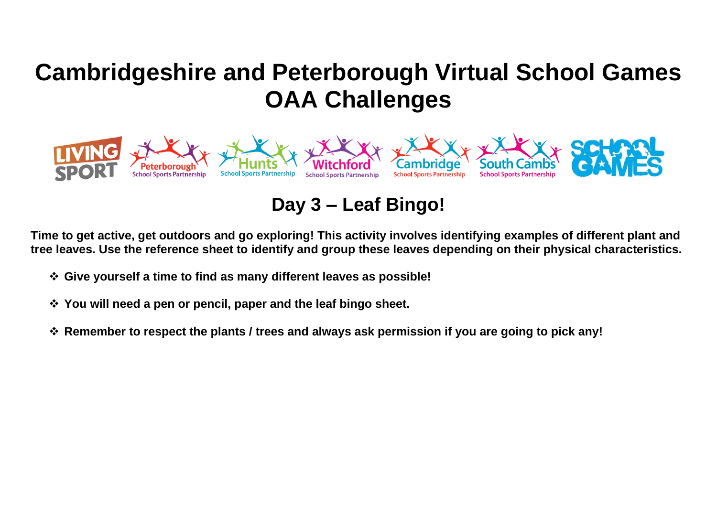

**Day 3 – Leaf Bingo!**

**Time to get active, get outdoors and go exploring! This activity involves identifying examples of different plant and tree leaves. Use the reference sheet to identify and group these leaves depending on their physical characteristics.**

- ❖ **Give yourself a time to find as many different leaves as possible!**
- ❖ **You will need a pen or pencil, paper and the leaf bingo sheet.**
- ❖ **Remember to respect the plants / trees and always ask permission if you are going to pick any!**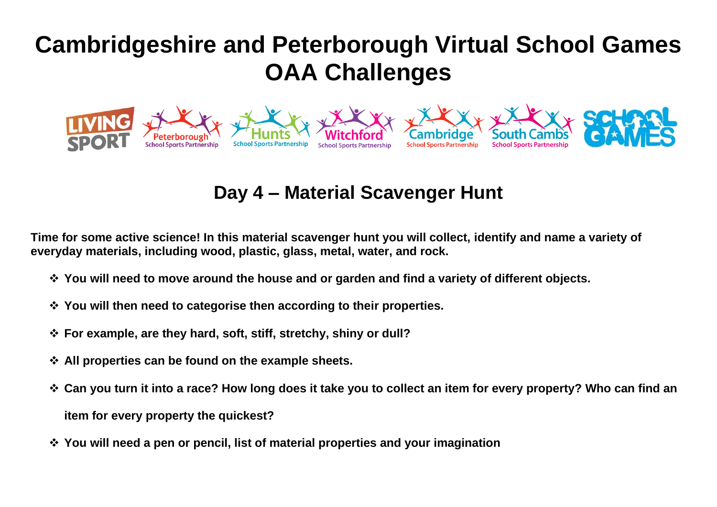

## **Day 4 – Material Scavenger Hunt**

**Time for some active science! In this material scavenger hunt you will collect, identify and name a variety of everyday materials, including wood, plastic, glass, metal, water, and rock.**

- ❖ **You will need to move around the house and or garden and find a variety of different objects.**
- ❖ **You will then need to categorise then according to their properties.**
- ❖ **For example, are they hard, soft, stiff, stretchy, shiny or dull?**
- ❖ **All properties can be found on the example sheets.**
- ❖ **Can you turn it into a race? How long does it take you to collect an item for every property? Who can find an item for every property the quickest?**
- ❖ **You will need a pen or pencil, list of material properties and your imagination**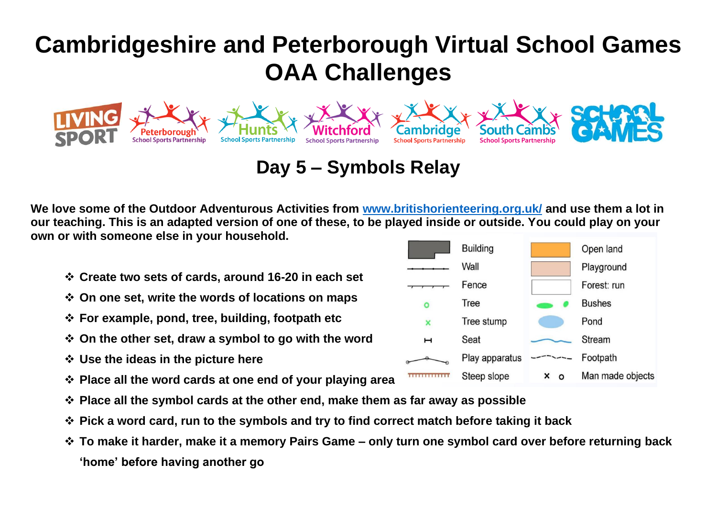

### **Day 5 – Symbols Relay**

**We love some of the Outdoor Adventurous Activities from [www.britishorienteering.org.uk/](http://www.britishorienteering.org.uk/) and use them a lot in our teaching. This is an adapted version of one of these, to be played inside or outside. You could play on your own or with someone else in your household.**

- ❖ **Create two sets of cards, around 16-20 in each set**
- ❖ **On one set, write the words of locations on maps**
- ❖ **For example, pond, tree, building, footpath etc**
- ❖ **On the other set, draw a symbol to go with the word**
- ❖ **Use the ideas in the picture here**
- ❖ **Place all the word cards at one end of your playing area**
- ❖ **Place all the symbol cards at the other end, make them as far away as possible**
- ❖ **Pick a word card, run to the symbols and try to find correct match before taking it back**
- ❖ **To make it harder, make it a memory Pairs Game – only turn one symbol card over before returning back 'home' before having another go**

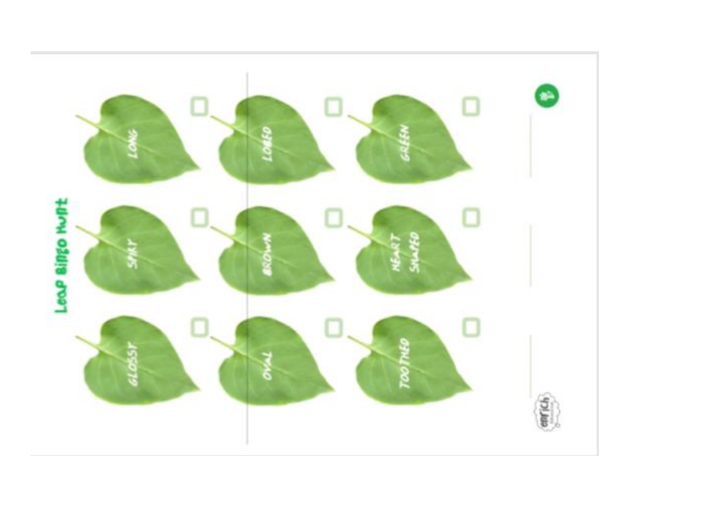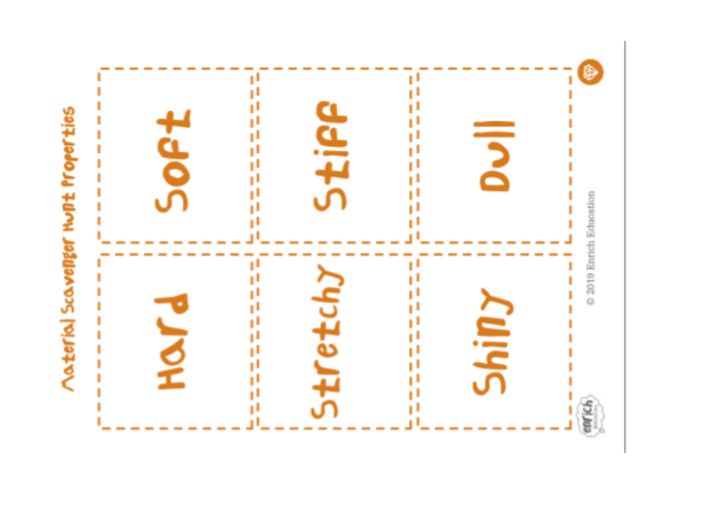